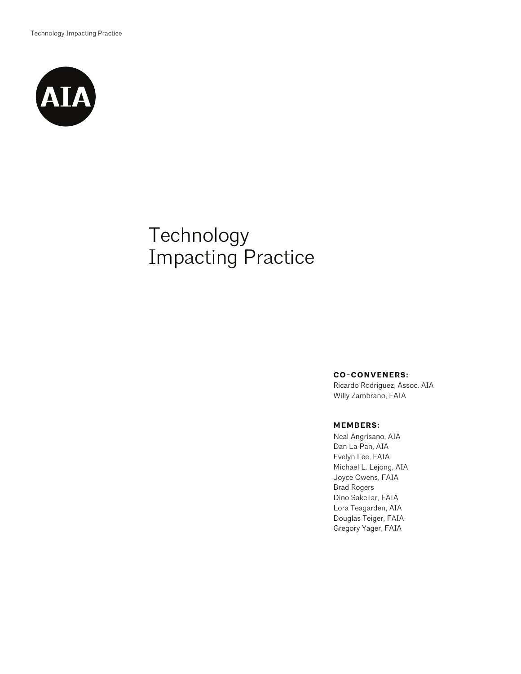

# Technology Impacting Practice

#### **CO-CONVENERS:**

Ricardo Rodriguez, Assoc. AIA Willy Zambrano, FAIA

#### **MEMBERS:**

Neal Angrisano, AIA Dan La Pan, AIA Evelyn Lee, FAIA Michael L. Lejong, AIA Joyce Owens, FAIA Brad Rogers Dino Sakellar, FAIA Lora Teagarden, AIA Douglas Teiger, FAIA Gregory Yager, FAIA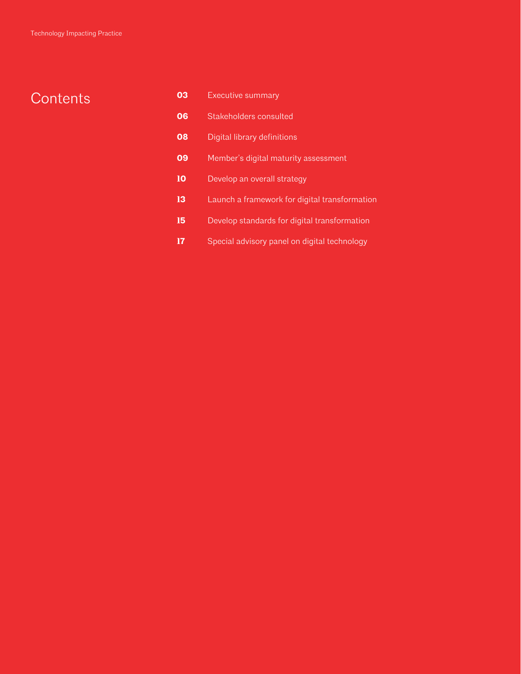# **Contents**

| 03 | Executive summary                             |
|----|-----------------------------------------------|
| 06 | Stakeholders consulted                        |
| 08 | Digital library definitions                   |
| 09 | Member's digital maturity assessment          |
| 10 | Develop an overall strategy                   |
| 13 | Launch a framework for digital transformation |
| 15 | Develop standards for digital transformation  |
|    | Special advisory panel on digital technology  |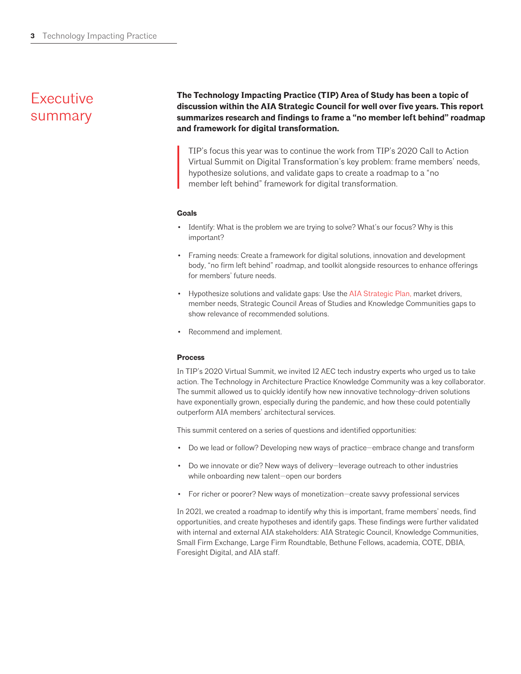# **Executive** summary

**The Technology Impacting Practice (TIP) Area of Study has been a topic of discussion within the AIA Strategic Council for well over five years. This report summarizes research and findings to frame a "no member left behind" roadmap and framework for digital transformation.** 

TIP's focus this year was to continue the work from TIP's 2020 Call to Action Virtual Summit on Digital Transformation's key problem: frame members' needs, hypothesize solutions, and validate gaps to create a roadmap to a "no member left behind" framework for digital transformation.

#### **Goals**

- Identify: What is the problem we are trying to solve? What's our focus? Why is this important?
- Framing needs: Create a framework for digital solutions, innovation and development body, "no firm left behind" roadmap, and toolkit alongside resources to enhance offerings for members' future needs.
- Hypothesize solutions and validate gaps: Use the [AIA Strategic Plan,](https://content.aia.org/sites/default/files/2021-09/EX20_StrategicPlan-2021-2025_RJ_v07.pdf) market drivers, member needs, Strategic Council Areas of Studies and Knowledge Communities gaps to show relevance of recommended solutions.
- Recommend and implement.

#### **Process**

In TIP's 2020 Virtual Summit, we invited 12 AEC tech industry experts who urged us to take action. The Technology in Architecture Practice Knowledge Community was a key collaborator. The summit allowed us to quickly identify how new innovative technology-driven solutions have exponentially grown, especially during the pandemic, and how these could potentially outperform AIA members' architectural services.

This summit centered on a series of questions and identified opportunities:

- Do we lead or follow? Developing new ways of practice—embrace change and transform
- Do we innovate or die? New ways of delivery—leverage outreach to other industries while onboarding new talent—open our borders
- For richer or poorer? New ways of monetization—create savvy professional services

In 2021, we created a roadmap to identify why this is important, frame members' needs, find opportunities, and create hypotheses and identify gaps. These findings were further validated with internal and external AIA stakeholders: AIA Strategic Council, Knowledge Communities, Small Firm Exchange, Large Firm Roundtable, Bethune Fellows, academia, COTE, DBIA, Foresight Digital, and AIA staff.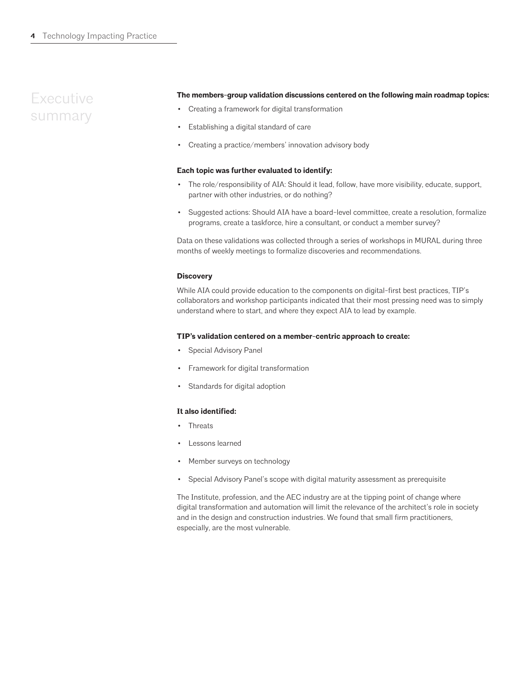### **Executive** summary

#### **The members-group validation discussions centered on the following main roadmap topics:**

- Creating a framework for digital transformation
- Establishing a digital standard of care
- Creating a practice/members' innovation advisory body

#### **Each topic was further evaluated to identify:**

- The role/responsibility of AIA: Should it lead, follow, have more visibility, educate, support, partner with other industries, or do nothing?
- Suggested actions: Should AIA have a board-level committee, create a resolution, formalize programs, create a taskforce, hire a consultant, or conduct a member survey?

Data on these validations was collected through a series of workshops in MURAL during three months of weekly meetings to formalize discoveries and recommendations.

#### **Discovery**

While AIA could provide education to the components on digital-first best practices, TIP's collaborators and workshop participants indicated that their most pressing need was to simply understand where to start, and where they expect AIA to lead by example.

#### **TIP's validation centered on a member-centric approach to create:**

- Special Advisory Panel
- Framework for digital transformation
- Standards for digital adoption

#### **It also identified:**

- **Threats**
- Lessons learned
- Member surveys on technology
- Special Advisory Panel's scope with digital maturity assessment as prerequisite

The Institute, profession, and the AEC industry are at the tipping point of change where digital transformation and automation will limit the relevance of the architect's role in society and in the design and construction industries. We found that small firm practitioners, especially, are the most vulnerable.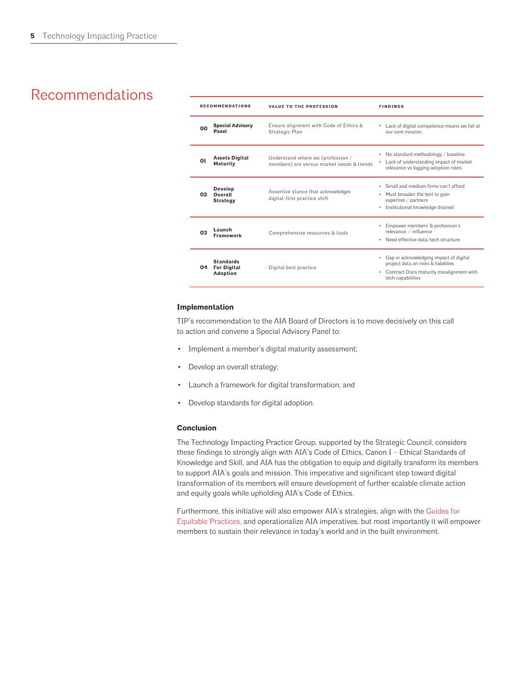### Recommendations

| <b>RECOMMENDATIONS</b> |                                                    | <b>VALUE TO THE PROFESSION</b>                                                 | <b>FINDINGS</b>                                                                                                                                       |
|------------------------|----------------------------------------------------|--------------------------------------------------------------------------------|-------------------------------------------------------------------------------------------------------------------------------------------------------|
| ΩO                     | <b>Special Advisory</b><br>Panel                   | Ensure alignment with Code of Ethics &<br>Strategic Plan                       | • Lack of digital competence means we fail at<br>our core mission.                                                                                    |
| 01                     | <b>Assets Digital</b><br><b>Maturity</b>           | Understand where we (profession /<br>members) are versus market needs & trends | • No standard methodology / baseline<br>Lack of understanding impact of market<br>٠<br>relevance vs lagging adoption rates.                           |
| 02                     | <b>Develop</b><br>Overall<br><b>Strategy</b>       | Assertive stance that acknowledges<br>digital-first practice shift             | Small and medium firms can't afford<br>٠<br>Must broaden the tent to gain<br>٠<br>expertise / partners<br>• Institutional knowledge drained           |
| OЗ                     | Launch<br><b>Framework</b>                         | Comprehensive resources & tools                                                | Empower members' & profession's<br>٠<br>relevance / influence<br>• Need effective data/tech structure                                                 |
| 04                     | <b>Standards</b><br><b>For Digital</b><br>Adoption | Digital best practice                                                          | Gap in acknowledging impact of digital<br>٠<br>project data on risks & liabilities<br>• Contract Docs maturity misalignment with<br>tech capabilities |

#### **Implementation**

TIP's recommendation to the AIA Board of Directors is to move decisively on this call to action and convene a Special Advisory Panel to:

- Implement a member's digital maturity assessment;
- Develop an overall strategy;
- Launch a framework for digital transformation; and
- Develop standards for digital adoption.

#### **Conclusion**

The Technology Impacting Practice Group, supported by the Strategic Council, considers these findings to strongly align with AIA's Code of Ethics, Canon I – Ethical Standards of Knowledge and Skill, and AIA has the obligation to equip and digitally transform its members to support AIA's goals and mission. This imperative and significant step toward digital transformation of its members will ensure development of further scalable climate action and equity goals while upholding AIA's Code of Ethics.

Furthermore, this initiative will also empower AIA's strategies, align with the [Guides for](https://www.aia.org/resources/6076046-guides-for-equitable-practice:46)  [Equitable Practices,](https://www.aia.org/resources/6076046-guides-for-equitable-practice:46) and operationalize AIA imperatives, but most importantly it will empower members to sustain their relevance in today's world and in the built environment.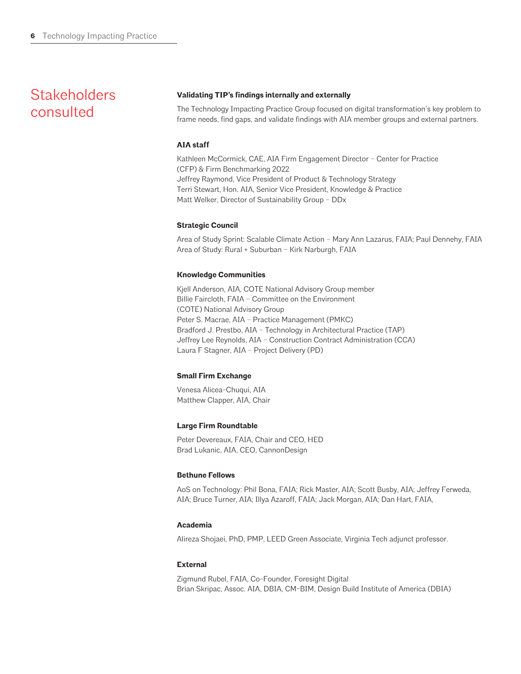### **Stakeholders** consulted

#### **Validating TIP's findings internally and externally**

The Technology Impacting Practice Group focused on digital transformation's key problem to frame needs, find gaps, and validate findings with AIA member groups and external partners.

#### **AIA staff**

Kathleen McCormick, CAE, AIA Firm Engagement Director – Center for Practice (CFP) & Firm Benchmarking 2022 Jeffrey Raymond, Vice President of Product & Technology Strategy Terri Stewart, Hon. AIA, Senior Vice President, Knowledge & Practice Matt Welker, Director of Sustainability Group – DDx

#### **Strategic Council**

Area of Study Sprint: Scalable Climate Action – Mary Ann Lazarus, FAIA; Paul Dennehy, FAIA Area of Study: Rural + Suburban – Kirk Narburgh, FAIA

#### **Knowledge Communities**

Kjell Anderson, AIA, COTE National Advisory Group member Billie Faircloth, FAIA – Committee on the Environment (COTE) National Advisory Group Peter S. Macrae, AIA – Practice Management (PMKC) Bradford J. Prestbo, AIA – Technology in Architectural Practice (TAP) Jeffrey Lee Reynolds, AIA – Construction Contract Administration (CCA) Laura F Stagner, AIA – Project Delivery (PD)

#### **Small Firm Exchange**

Venesa Alicea-Chuqui, AIA Matthew Clapper, AIA, Chair

#### **Large Firm Roundtable**

Peter Devereaux, FAIA, Chair and CEO, HED Brad Lukanic, AIA, CEO, CannonDesign

#### **Bethune Fellows**

AoS on Technology: Phil Bona, FAIA; Rick Master, AIA; Scott Busby, AIA; Jeffrey Ferweda, AIA; Bruce Turner, AIA; Illya Azaroff, FAIA; Jack Morgan, AIA; Dan Hart, FAIA,

#### **Academia**

Alireza Shojaei, PhD, PMP, LEED Green Associate, Virginia Tech adjunct professor.

#### **External**

Zigmund Rubel, FAIA, Co-Founder, Foresight Digital Brian Skripac, Assoc. AIA, DBIA, CM-BIM, Design Build Institute of America (DBIA)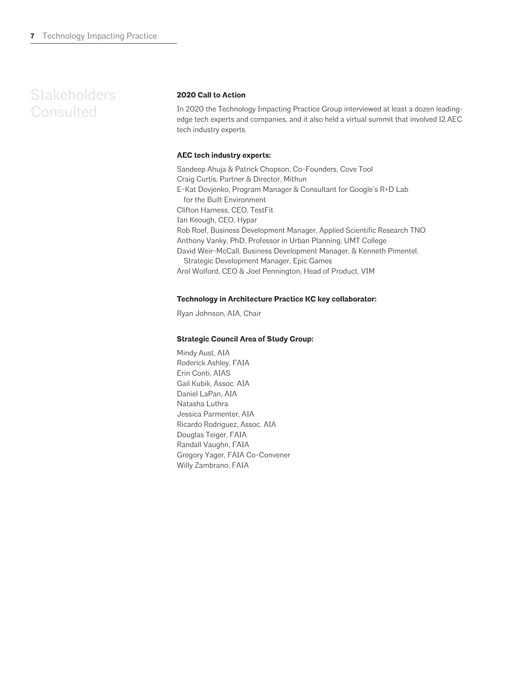### **Stakeholders Consulted**

#### **2020 Call to Action**

In 2020 the Technology Impacting Practice Group interviewed at least a dozen leadingedge tech experts and companies, and it also held a virtual summit that involved 12 AEC tech industry experts.

#### **AEC tech industry experts:**

Sandeep Ahuja & Patrick Chopson, Co-Founders, Cove Tool Craig Curtis, Partner & Director, Mithun E-Kat Dovjenko, Program Manager & Consultant for Google's R+D Lab for the Built Environment Clifton Harness, CEO, TestFit Ian Keough, CEO, Hypar Rob Roef, Business Development Manager, Applied Scientific Research TNO Anthony Vanky, PhD, Professor in Urban Planning, UMT College David Weir-McCall, Business Development Manager, & Kenneth Pimentel, Strategic Development Manager, Epic Games Arol Wolford, CEO & Joel Pennington, Head of Product, VIM

#### **Technology in Architecture Practice KC key collaborator:**

Ryan Johnson, AIA, Chair

#### **Strategic Council Area of Study Group:**

Mindy Aust, AIA Roderick Ashley, FAIA Erin Conti, AIAS Gail Kubik, Assoc. AIA Daniel LaPan, AIA Natasha Luthra Jessica Parmenter, AIA Ricardo Rodriguez, Assoc. AIA Douglas Teiger, FAIA Randall Vaughn, FAIA Gregory Yager, FAIA Co-Convener Willy Zambrano, FAIA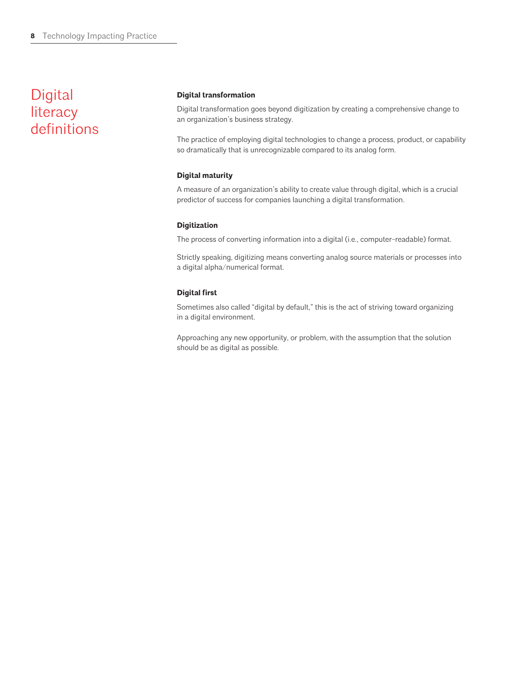### Digital literacy definitions

#### **Digital transformation**

Digital transformation goes beyond digitization by creating a comprehensive change to an organization's business strategy.

The practice of employing digital technologies to change a process, product, or capability so dramatically that is unrecognizable compared to its analog form.

#### **Digital maturity**

A measure of an organization's ability to create value through digital, which is a crucial predictor of success for companies launching a digital transformation.

#### **Digitization**

The process of converting information into a digital (i.e., computer-readable) format.

Strictly speaking, digitizing means converting analog source materials or processes into a digital alpha/numerical format.

#### **Digital first**

Sometimes also called "digital by default," this is the act of striving toward organizing in a digital environment.

Approaching any new opportunity, or problem, with the assumption that the solution should be as digital as possible.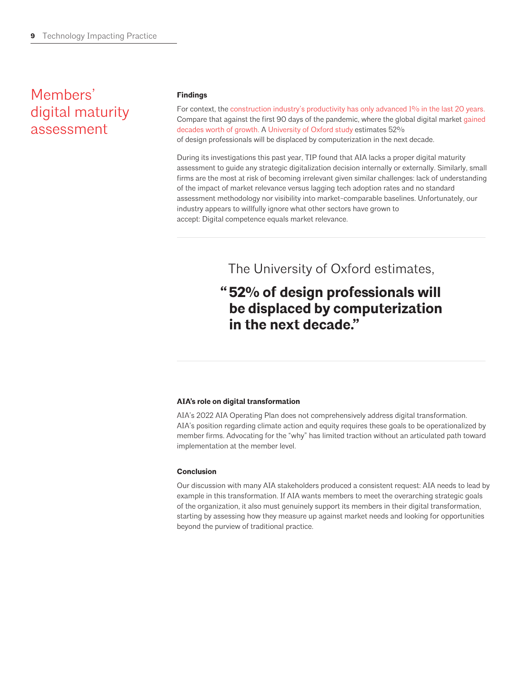### Members' digital maturity assessment

#### **Findings**

For context, the [construction industry's productivity has only advanced 1% in the last 20 years.](https://www.mckinsey.com/business-functions/operations/our-insights/the-next-normal-in-construction-how-disruption-is-reshaping-the-worlds-largest-ecosystem) Compare that against the first 90 days of the pandemic, where the global digital market [gained](https://www.mckinsey.com/business-functions/strategy-and-corporate-finance/our-insights/five-fifty-the-quickening)  [decades worth of growth.](https://www.mckinsey.com/business-functions/strategy-and-corporate-finance/our-insights/five-fifty-the-quickening) A [University of Oxford study](https://www.oxfordmartin.ox.ac.uk/downloads/academic/future-of-employment.pdf) estimates 52% of design professionals will be displaced by computerization in the next decade.

During its investigations this past year, TIP found that AIA lacks a proper digital maturity assessment to guide any strategic digitalization decision internally or externally. Similarly, small firms are the most at risk of becoming irrelevant given similar challenges: lack of understanding of the impact of market relevance versus lagging tech adoption rates and no standard assessment methodology nor visibility into market-comparable baselines. Unfortunately, our industry appears to willfully ignore what other sectors have grown to accept: Digital competence equals market relevance.

The University of Oxford estimates,

### **52% of design professionals will " be displaced by computerization in the next decade."**

#### **AIA's role on digital transformation**

AIA's 2022 AIA Operating Plan does not comprehensively address digital transformation. AIA's position regarding climate action and equity requires these goals to be operationalized by member firms. Advocating for the "why" has limited traction without an articulated path toward implementation at the member level.

#### **Conclusion**

Our discussion with many AIA stakeholders produced a consistent request: AIA needs to lead by example in this transformation. If AIA wants members to meet the overarching strategic goals of the organization, it also must genuinely support its members in their digital transformation, starting by assessing how they measure up against market needs and looking for opportunities beyond the purview of traditional practice.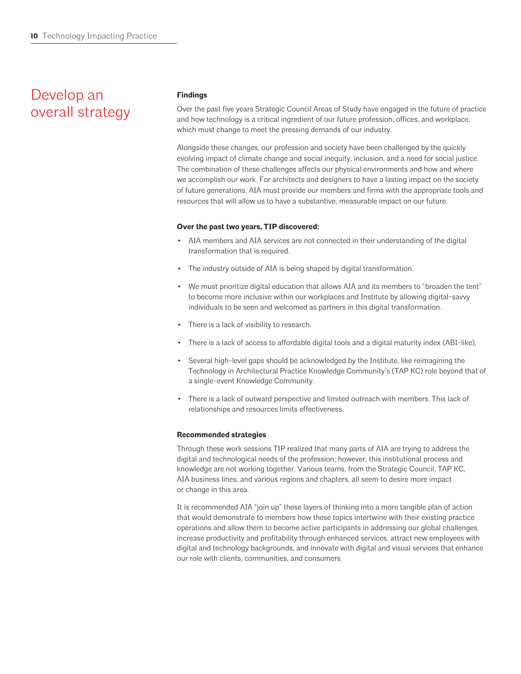### Develop an overall strategy

#### **Findings**

Over the past five years Strategic Council Areas of Study have engaged in the future of practice and how technology is a critical ingredient of our future profession, offices, and workplace, which must change to meet the pressing demands of our industry.

Alongside these changes, our profession and society have been challenged by the quickly evolving impact of climate change and social inequity, inclusion, and a need for social justice. The combination of these challenges affects our physical environments and how and where we accomplish our work. For architects and designers to have a lasting impact on the society of future generations, AIA must provide our members and firms with the appropriate tools and resources that will allow us to have a substantive, measurable impact on our future.

#### **Over the past two years, TIP discovered:**

- AIA members and AIA services are not connected in their understanding of the digital transformation that is required.
- The industry outside of AIA is being shaped by digital transformation.
- We must prioritize digital education that allows AIA and its members to "broaden the tent" to become more inclusive within our workplaces and Institute by allowing digital-savvy individuals to be seen and welcomed as partners in this digital transformation.
- There is a lack of visibility to research.
- There is a lack of access to affordable digital tools and a digital maturity index (ABI-like).
- Several high-level gaps should be acknowledged by the Institute, like reimagining the Technology in Architectural Practice Knowledge Community's (TAP KC) role beyond that of a single-event Knowledge Community.
- There is a lack of outward perspective and limited outreach with members. This lack of relationships and resources limits effectiveness.

#### **Recommended strategies**

Through these work sessions TIP realized that many parts of AIA are trying to address the digital and technological needs of the profession; however, this institutional process and knowledge are not working together. Various teams, from the Strategic Council, TAP KC, AIA business lines, and various regions and chapters, all seem to desire more impact or change in this area.

It is recommended AIA "join up" these layers of thinking into a more tangible plan of action that would demonstrate to members how these topics intertwine with their existing practice operations and allow them to become active participants in addressing our global challenges, increase productivity and profitability through enhanced services, attract new employees with digital and technology backgrounds, and innovate with digital and visual services that enhance our role with clients, communities, and consumers.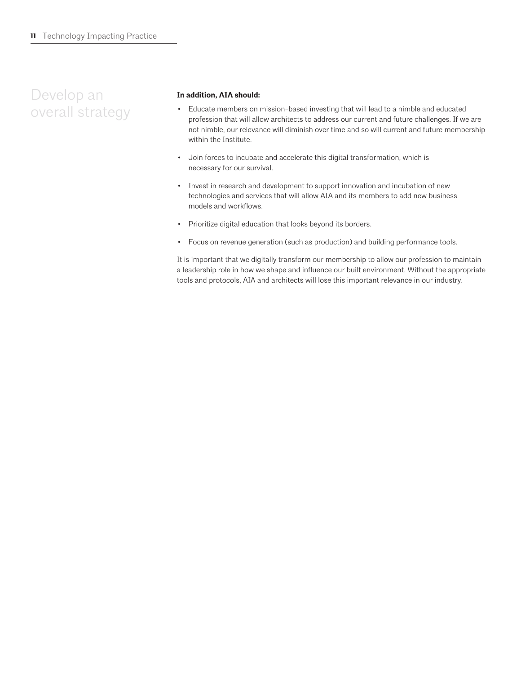### Develop an overall strategy

#### **In addition, AIA should:**

- Educate members on mission-based investing that will lead to a nimble and educated profession that will allow architects to address our current and future challenges. If we are not nimble, our relevance will diminish over time and so will current and future membership within the Institute.
- Join forces to incubate and accelerate this digital transformation, which is necessary for our survival.
- Invest in research and development to support innovation and incubation of new technologies and services that will allow AIA and its members to add new business models and workflows.
- Prioritize digital education that looks beyond its borders.
- Focus on revenue generation (such as production) and building performance tools.

It is important that we digitally transform our membership to allow our profession to maintain a leadership role in how we shape and influence our built environment. Without the appropriate tools and protocols, AIA and architects will lose this important relevance in our industry.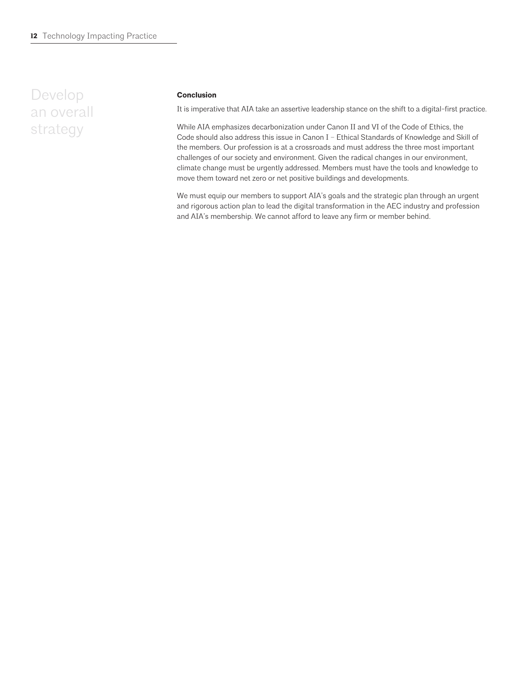### Develop an overall strategy

#### **Conclusion**

It is imperative that AIA take an assertive leadership stance on the shift to a digital-first practice.

While AIA emphasizes decarbonization under Canon II and VI of the Code of Ethics, the Code should also address this issue in Canon I – Ethical Standards of Knowledge and Skill of the members. Our profession is at a crossroads and must address the three most important challenges of our society and environment. Given the radical changes in our environment, climate change must be urgently addressed. Members must have the tools and knowledge to move them toward net zero or net positive buildings and developments.

We must equip our members to support AIA's goals and the strategic plan through an urgent and rigorous action plan to lead the digital transformation in the AEC industry and profession and AIA's membership. We cannot afford to leave any firm or member behind.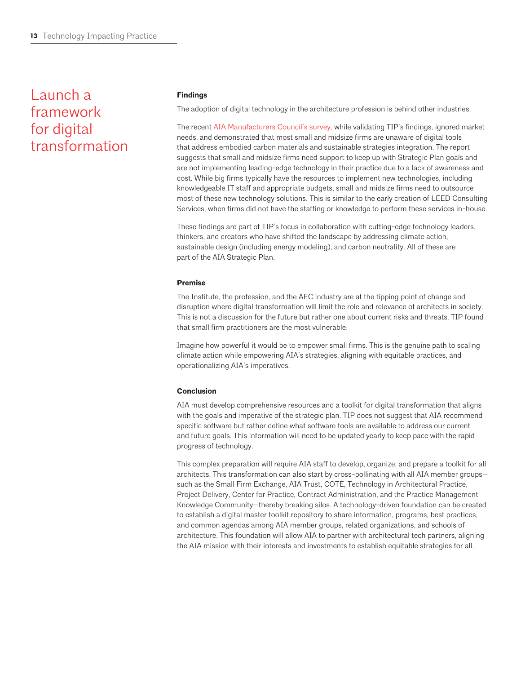### Launch a framework for digital transformation

#### **Findings**

The adoption of digital technology in the architecture profession is behind other industries.

The recent [AIA Manufacturers Council's survey,](https://www.aia.org/pages/6455144-technology-culture--the-future-of-the-arch) while validating TIP's findings, ignored market needs, and demonstrated that most small and midsize firms are unaware of digital tools that address embodied carbon materials and sustainable strategies integration. The report suggests that small and midsize firms need support to keep up with Strategic Plan goals and are not implementing leading-edge technology in their practice due to a lack of awareness and cost. While big firms typically have the resources to implement new technologies, including knowledgeable IT staff and appropriate budgets, small and midsize firms need to outsource most of these new technology solutions. This is similar to the early creation of LEED Consulting Services, when firms did not have the staffing or knowledge to perform these services in-house.

These findings are part of TIP's focus in collaboration with cutting-edge technology leaders, thinkers, and creators who have shifted the landscape by addressing climate action, sustainable design (including energy modeling), and carbon neutrality. All of these are part of the AIA Strategic Plan.

#### **Premise**

The Institute, the profession, and the AEC industry are at the tipping point of change and disruption where digital transformation will limit the role and relevance of architects in society. This is not a discussion for the future but rather one about current risks and threats. TIP found that small firm practitioners are the most vulnerable.

Imagine how powerful it would be to empower small firms. This is the genuine path to scaling climate action while empowering AIA's strategies, aligning with equitable practices, and operationalizing AIA's imperatives.

#### **Conclusion**

AIA must develop comprehensive resources and a toolkit for digital transformation that aligns with the goals and imperative of the strategic plan. TIP does not suggest that AIA recommend specific software but rather define what software tools are available to address our current and future goals. This information will need to be updated yearly to keep pace with the rapid progress of technology.

This complex preparation will require AIA staff to develop, organize, and prepare a toolkit for all architects. This transformation can also start by cross-pollinating with all AIA member groups such as the Small Firm Exchange, AIA Trust, COTE, Technology in Architectural Practice, Project Delivery, Center for Practice, Contract Administration, and the Practice Management Knowledge Community—thereby breaking silos. A technology-driven foundation can be created to establish a digital master toolkit repository to share information, programs, best practices, and common agendas among AIA member groups, related organizations, and schools of architecture. This foundation will allow AIA to partner with architectural tech partners, aligning the AIA mission with their interests and investments to establish equitable strategies for all.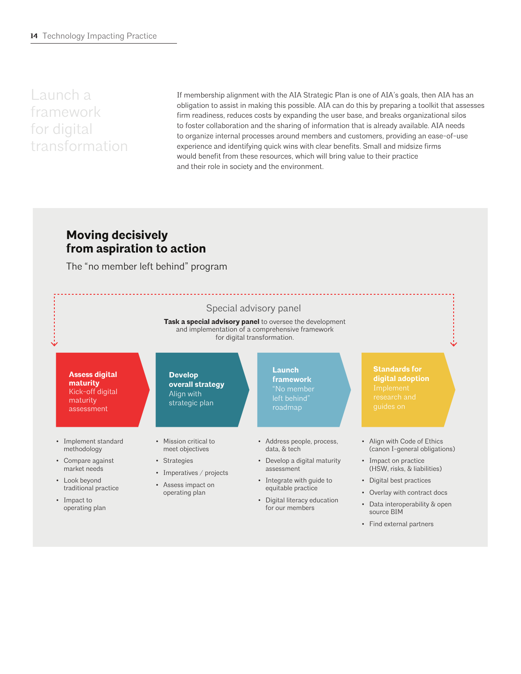Launch a framework for digital transformation

If membership alignment with the AIA Strategic Plan is one of AIA's goals, then AIA has an obligation to assist in making this possible. AIA can do this by preparing a toolkit that assesses firm readiness, reduces costs by expanding the user base, and breaks organizational silos to foster collaboration and the sharing of information that is already available. AIA needs to organize internal processes around members and customers, providing an ease-of-use experience and identifying quick wins with clear benefits. Small and midsize firms would benefit from these resources, which will bring value to their practice and their role in society and the environment.

### **Moving decisively from aspiration to action**

The "no member left behind" program



• Find external partners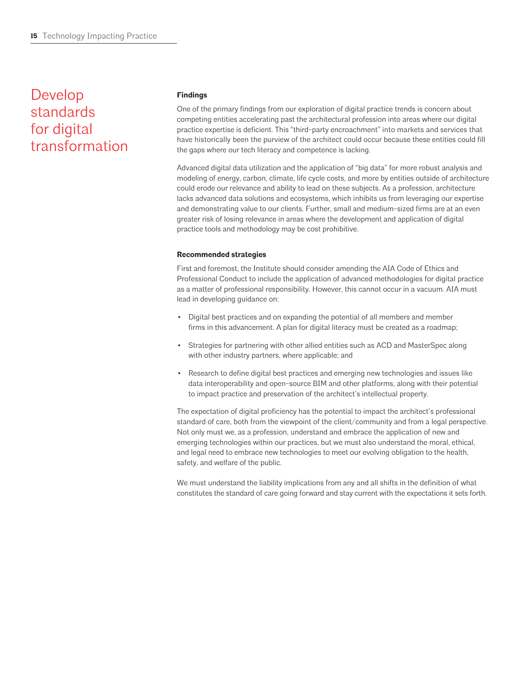### Develop standards for digital transformation

#### **Findings**

One of the primary findings from our exploration of digital practice trends is concern about competing entities accelerating past the architectural profession into areas where our digital practice expertise is deficient. This "third-party encroachment" into markets and services that have historically been the purview of the architect could occur because these entities could fill the gaps where our tech literacy and competence is lacking.

Advanced digital data utilization and the application of "big data" for more robust analysis and modeling of energy, carbon, climate, life cycle costs, and more by entities outside of architecture could erode our relevance and ability to lead on these subjects. As a profession, architecture lacks advanced data solutions and ecosystems, which inhibits us from leveraging our expertise and demonstrating value to our clients. Further, small and medium-sized firms are at an even greater risk of losing relevance in areas where the development and application of digital practice tools and methodology may be cost prohibitive.

#### **Recommended strategies**

First and foremost, the Institute should consider amending the AIA Code of Ethics and Professional Conduct to include the application of advanced methodologies for digital practice as a matter of professional responsibility. However, this cannot occur in a vacuum. AIA must lead in developing guidance on:

- Digital best practices and on expanding the potential of all members and member firms in this advancement. A plan for digital literacy must be created as a roadmap;
- Strategies for partnering with other allied entities such as ACD and MasterSpec along with other industry partners, where applicable; and
- Research to define digital best practices and emerging new technologies and issues like data interoperability and open-source BIM and other platforms, along with their potential to impact practice and preservation of the architect's intellectual property.

The expectation of digital proficiency has the potential to impact the architect's professional standard of care, both from the viewpoint of the client/community and from a legal perspective. Not only must we, as a profession, understand and embrace the application of new and emerging technologies within our practices, but we must also understand the moral, ethical, and legal need to embrace new technologies to meet our evolving obligation to the health, safety, and welfare of the public.

We must understand the liability implications from any and all shifts in the definition of what constitutes the standard of care going forward and stay current with the expectations it sets forth.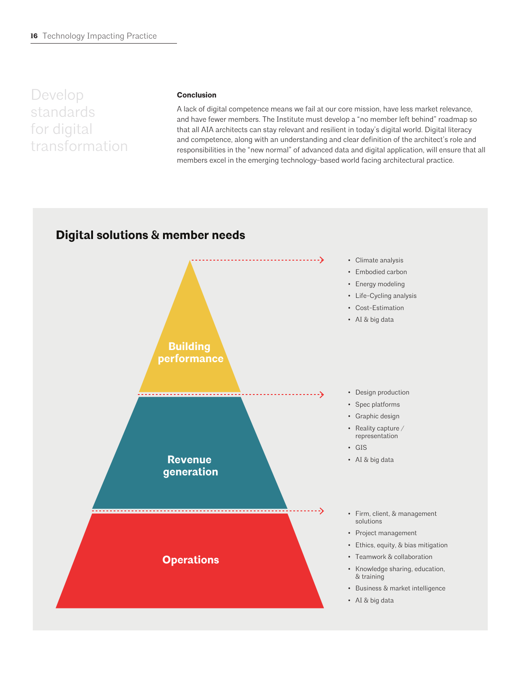Develop standards for digital transformation

#### **Conclusion**

A lack of digital competence means we fail at our core mission, have less market relevance, and have fewer members. The Institute must develop a "no member left behind" roadmap so that all AIA architects can stay relevant and resilient in today's digital world. Digital literacy and competence, along with an understanding and clear definition of the architect's role and responsibilities in the "new normal" of advanced data and digital application, will ensure that all members excel in the emerging technology-based world facing architectural practice.